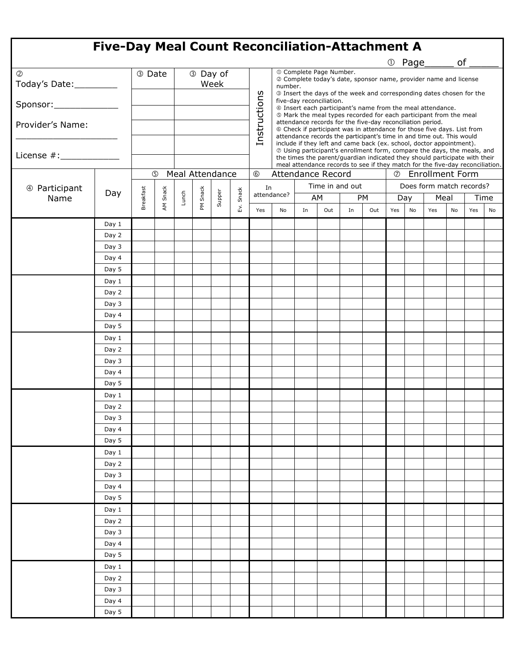| <b>Five-Day Meal Count Reconciliation-Attachment A</b> |        |                                                      |             |                  |       |        |              |              |                                                                                                                                                                                                                                                                                                                                                                                                |                   |     |                                                                  |           |     |     |                          |    |      |    |  |  |
|--------------------------------------------------------|--------|------------------------------------------------------|-------------|------------------|-------|--------|--------------|--------------|------------------------------------------------------------------------------------------------------------------------------------------------------------------------------------------------------------------------------------------------------------------------------------------------------------------------------------------------------------------------------------------------|-------------------|-----|------------------------------------------------------------------|-----------|-----|-----|--------------------------|----|------|----|--|--|
| 1 Page                                                 |        |                                                      |             |                  |       |        |              |              |                                                                                                                                                                                                                                                                                                                                                                                                |                   |     |                                                                  |           |     | of  |                          |    |      |    |  |  |
| $\circledS$<br>Today's Date:_________                  | 3 Date |                                                      |             | 3 Day of<br>Week |       |        |              | number.      | 10 Complete Page Number.                                                                                                                                                                                                                                                                                                                                                                       |                   |     | 2 Complete today's date, sponsor name, provider name and license |           |     |     |                          |    |      |    |  |  |
| Sponsor: _______________                               |        |                                                      |             |                  |       |        |              |              | <b>3</b> Insert the days of the week and corresponding dates chosen for the<br>five-day reconciliation.<br>4 Insert each participant's name from the meal attendance.<br><sup>®</sup> Mark the meal types recorded for each participant from the meal<br>attendance records for the five-day reconciliation period.<br>© Check if participant was in attendance for those five days. List from |                   |     |                                                                  |           |     |     |                          |    |      |    |  |  |
| Provider's Name:                                       |        |                                                      |             |                  |       |        |              | Instructions |                                                                                                                                                                                                                                                                                                                                                                                                |                   |     |                                                                  |           |     |     |                          |    |      |    |  |  |
|                                                        |        |                                                      |             |                  |       |        |              |              | attendance records the participant's time in and time out. This would<br>include if they left and came back (ex. school, doctor appointment).<br>@ Using participant's enrollment form, compare the days, the meals, and<br>the times the parent/guardian indicated they should participate with their<br>meal attendance records to see if they match for the five-day reconciliation.        |                   |     |                                                                  |           |     |     |                          |    |      |    |  |  |
|                                                        |        | <b>Meal Attendance</b><br>$\circledS$<br>$\circledS$ |             |                  |       |        |              |              |                                                                                                                                                                                                                                                                                                                                                                                                | Attendance Record |     |                                                                  |           |     |     | <b>2</b> Enrollment Form |    |      |    |  |  |
| 4 Participant                                          |        |                                                      |             |                  |       |        |              | In           |                                                                                                                                                                                                                                                                                                                                                                                                | Time in and out   |     |                                                                  |           |     |     | Does form match records? |    |      |    |  |  |
| Name                                                   | Day    | Breakfast                                            | Snack<br>ĄΜ | Lunch            | Snack | Supper | Snack<br>Εv. | attendance?  |                                                                                                                                                                                                                                                                                                                                                                                                | AM                |     |                                                                  | <b>PM</b> |     | Day | Meal                     |    | Time |    |  |  |
|                                                        |        |                                                      |             |                  | ΣÉ    |        |              | Yes          | No                                                                                                                                                                                                                                                                                                                                                                                             | In                | Out | In                                                               | Out       | Yes | No  | Yes                      | No | Yes  | No |  |  |
|                                                        | Day 1  |                                                      |             |                  |       |        |              |              |                                                                                                                                                                                                                                                                                                                                                                                                |                   |     |                                                                  |           |     |     |                          |    |      |    |  |  |
|                                                        | Day 2  |                                                      |             |                  |       |        |              |              |                                                                                                                                                                                                                                                                                                                                                                                                |                   |     |                                                                  |           |     |     |                          |    |      |    |  |  |
|                                                        | Day 3  |                                                      |             |                  |       |        |              |              |                                                                                                                                                                                                                                                                                                                                                                                                |                   |     |                                                                  |           |     |     |                          |    |      |    |  |  |
|                                                        | Day 4  |                                                      |             |                  |       |        |              |              |                                                                                                                                                                                                                                                                                                                                                                                                |                   |     |                                                                  |           |     |     |                          |    |      |    |  |  |
|                                                        | Day 5  |                                                      |             |                  |       |        |              |              |                                                                                                                                                                                                                                                                                                                                                                                                |                   |     |                                                                  |           |     |     |                          |    |      |    |  |  |
|                                                        | Day 1  |                                                      |             |                  |       |        |              |              |                                                                                                                                                                                                                                                                                                                                                                                                |                   |     |                                                                  |           |     |     |                          |    |      |    |  |  |
|                                                        | Day 2  |                                                      |             |                  |       |        |              |              |                                                                                                                                                                                                                                                                                                                                                                                                |                   |     |                                                                  |           |     |     |                          |    |      |    |  |  |
|                                                        | Day 3  |                                                      |             |                  |       |        |              |              |                                                                                                                                                                                                                                                                                                                                                                                                |                   |     |                                                                  |           |     |     |                          |    |      |    |  |  |
|                                                        | Day 4  |                                                      |             |                  |       |        |              |              |                                                                                                                                                                                                                                                                                                                                                                                                |                   |     |                                                                  |           |     |     |                          |    |      |    |  |  |
|                                                        | Day 5  |                                                      |             |                  |       |        |              |              |                                                                                                                                                                                                                                                                                                                                                                                                |                   |     |                                                                  |           |     |     |                          |    |      |    |  |  |
|                                                        | Day 1  |                                                      |             |                  |       |        |              |              |                                                                                                                                                                                                                                                                                                                                                                                                |                   |     |                                                                  |           |     |     |                          |    |      |    |  |  |
|                                                        | Day 2  |                                                      |             |                  |       |        |              |              |                                                                                                                                                                                                                                                                                                                                                                                                |                   |     |                                                                  |           |     |     |                          |    |      |    |  |  |
|                                                        | Day 3  |                                                      |             |                  |       |        |              |              |                                                                                                                                                                                                                                                                                                                                                                                                |                   |     |                                                                  |           |     |     |                          |    |      |    |  |  |
|                                                        | Day 4  |                                                      |             |                  |       |        |              |              |                                                                                                                                                                                                                                                                                                                                                                                                |                   |     |                                                                  |           |     |     |                          |    |      |    |  |  |
|                                                        | Day 5  |                                                      |             |                  |       |        |              |              |                                                                                                                                                                                                                                                                                                                                                                                                |                   |     |                                                                  |           |     |     |                          |    |      |    |  |  |
|                                                        | Day 1  |                                                      |             |                  |       |        |              |              |                                                                                                                                                                                                                                                                                                                                                                                                |                   |     |                                                                  |           |     |     |                          |    |      |    |  |  |
|                                                        | Day 2  |                                                      |             |                  |       |        |              |              |                                                                                                                                                                                                                                                                                                                                                                                                |                   |     |                                                                  |           |     |     |                          |    |      |    |  |  |
|                                                        | Day 3  |                                                      |             |                  |       |        |              |              |                                                                                                                                                                                                                                                                                                                                                                                                |                   |     |                                                                  |           |     |     |                          |    |      |    |  |  |
|                                                        | Day 4  |                                                      |             |                  |       |        |              |              |                                                                                                                                                                                                                                                                                                                                                                                                |                   |     |                                                                  |           |     |     |                          |    |      |    |  |  |
|                                                        | Day 5  |                                                      |             |                  |       |        |              |              |                                                                                                                                                                                                                                                                                                                                                                                                |                   |     |                                                                  |           |     |     |                          |    |      |    |  |  |
|                                                        | Day 1  |                                                      |             |                  |       |        |              |              |                                                                                                                                                                                                                                                                                                                                                                                                |                   |     |                                                                  |           |     |     |                          |    |      |    |  |  |
|                                                        | Day 2  |                                                      |             |                  |       |        |              |              |                                                                                                                                                                                                                                                                                                                                                                                                |                   |     |                                                                  |           |     |     |                          |    |      |    |  |  |
|                                                        | Day 3  |                                                      |             |                  |       |        |              |              |                                                                                                                                                                                                                                                                                                                                                                                                |                   |     |                                                                  |           |     |     |                          |    |      |    |  |  |
|                                                        | Day 4  |                                                      |             |                  |       |        |              |              |                                                                                                                                                                                                                                                                                                                                                                                                |                   |     |                                                                  |           |     |     |                          |    |      |    |  |  |
|                                                        | Day 5  |                                                      |             |                  |       |        |              |              |                                                                                                                                                                                                                                                                                                                                                                                                |                   |     |                                                                  |           |     |     |                          |    |      |    |  |  |
|                                                        | Day 1  |                                                      |             |                  |       |        |              |              |                                                                                                                                                                                                                                                                                                                                                                                                |                   |     |                                                                  |           |     |     |                          |    |      |    |  |  |
|                                                        | Day 2  |                                                      |             |                  |       |        |              |              |                                                                                                                                                                                                                                                                                                                                                                                                |                   |     |                                                                  |           |     |     |                          |    |      |    |  |  |
|                                                        | Day 3  |                                                      |             |                  |       |        |              |              |                                                                                                                                                                                                                                                                                                                                                                                                |                   |     |                                                                  |           |     |     |                          |    |      |    |  |  |
|                                                        | Day 4  |                                                      |             |                  |       |        |              |              |                                                                                                                                                                                                                                                                                                                                                                                                |                   |     |                                                                  |           |     |     |                          |    |      |    |  |  |
|                                                        | Day 5  |                                                      |             |                  |       |        |              |              |                                                                                                                                                                                                                                                                                                                                                                                                |                   |     |                                                                  |           |     |     |                          |    |      |    |  |  |
|                                                        | Day 1  |                                                      |             |                  |       |        |              |              |                                                                                                                                                                                                                                                                                                                                                                                                |                   |     |                                                                  |           |     |     |                          |    |      |    |  |  |
|                                                        | Day 2  |                                                      |             |                  |       |        |              |              |                                                                                                                                                                                                                                                                                                                                                                                                |                   |     |                                                                  |           |     |     |                          |    |      |    |  |  |
|                                                        | Day 3  |                                                      |             |                  |       |        |              |              |                                                                                                                                                                                                                                                                                                                                                                                                |                   |     |                                                                  |           |     |     |                          |    |      |    |  |  |
|                                                        | Day 4  |                                                      |             |                  |       |        |              |              |                                                                                                                                                                                                                                                                                                                                                                                                |                   |     |                                                                  |           |     |     |                          |    |      |    |  |  |
|                                                        | Day 5  |                                                      |             |                  |       |        |              |              |                                                                                                                                                                                                                                                                                                                                                                                                |                   |     |                                                                  |           |     |     |                          |    |      |    |  |  |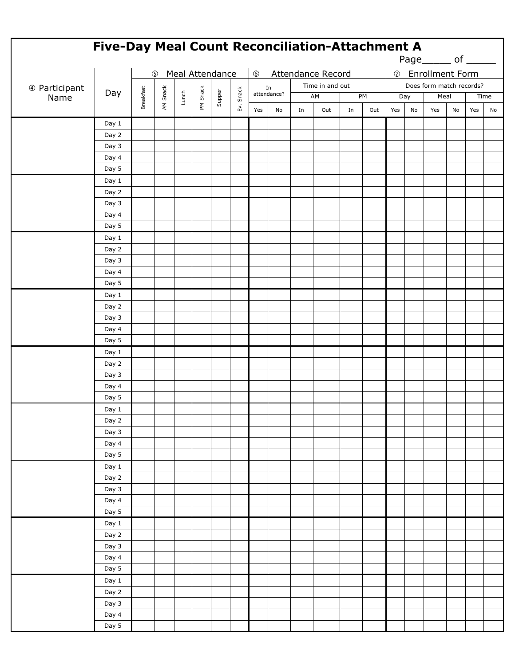| Five-Day Meal Count Reconciliation-Attachment A<br>Page_______ of ______ |                                |           |          |  |          |        |           |              |                   |    |                          |    |                          |     |     |      |    |     |      |  |  |
|--------------------------------------------------------------------------|--------------------------------|-----------|----------|--|----------|--------|-----------|--------------|-------------------|----|--------------------------|----|--------------------------|-----|-----|------|----|-----|------|--|--|
|                                                                          | Meal Attendance<br>$\circledS$ |           |          |  |          |        |           | $^\circledR$ |                   |    | Attendance Record        |    | <b>2</b> Enrollment Form |     |     |      |    |     |      |  |  |
| 4 Participant<br>Name                                                    |                                |           |          |  |          |        |           |              |                   |    | Does form match records? |    |                          |     |     |      |    |     |      |  |  |
|                                                                          | Day                            |           |          |  |          | Supper |           |              | In<br>attendance? |    | Time in and out<br>AM    |    | PM                       |     | Day | Meal |    |     | Time |  |  |
|                                                                          |                                | Breakfast | AM Snack |  | PM Snack |        | Ev. Snack |              |                   |    |                          |    |                          |     |     |      |    |     |      |  |  |
|                                                                          |                                |           |          |  |          |        |           | Yes          | No                | In | Out                      | In | Out                      | Yes | No  | Yes  | No | Yes | No   |  |  |
|                                                                          | Day 1                          |           |          |  |          |        |           |              |                   |    |                          |    |                          |     |     |      |    |     |      |  |  |
|                                                                          | Day 2                          |           |          |  |          |        |           |              |                   |    |                          |    |                          |     |     |      |    |     |      |  |  |
|                                                                          | Day 3                          |           |          |  |          |        |           |              |                   |    |                          |    |                          |     |     |      |    |     |      |  |  |
|                                                                          | Day 4                          |           |          |  |          |        |           |              |                   |    |                          |    |                          |     |     |      |    |     |      |  |  |
|                                                                          | Day 5                          |           |          |  |          |        |           |              |                   |    |                          |    |                          |     |     |      |    |     |      |  |  |
|                                                                          | Day 1                          |           |          |  |          |        |           |              |                   |    |                          |    |                          |     |     |      |    |     |      |  |  |
|                                                                          | Day 2                          |           |          |  |          |        |           |              |                   |    |                          |    |                          |     |     |      |    |     |      |  |  |
|                                                                          | Day 3                          |           |          |  |          |        |           |              |                   |    |                          |    |                          |     |     |      |    |     |      |  |  |
|                                                                          | Day 4                          |           |          |  |          |        |           |              |                   |    |                          |    |                          |     |     |      |    |     |      |  |  |
|                                                                          | Day 5                          |           |          |  |          |        |           |              |                   |    |                          |    |                          |     |     |      |    |     |      |  |  |
|                                                                          | Day 1                          |           |          |  |          |        |           |              |                   |    |                          |    |                          |     |     |      |    |     |      |  |  |
|                                                                          | Day 2                          |           |          |  |          |        |           |              |                   |    |                          |    |                          |     |     |      |    |     |      |  |  |
|                                                                          | Day 3                          |           |          |  |          |        |           |              |                   |    |                          |    |                          |     |     |      |    |     |      |  |  |
|                                                                          | Day 4                          |           |          |  |          |        |           |              |                   |    |                          |    |                          |     |     |      |    |     |      |  |  |
|                                                                          | Day 5                          |           |          |  |          |        |           |              |                   |    |                          |    |                          |     |     |      |    |     |      |  |  |
|                                                                          | Day 1                          |           |          |  |          |        |           |              |                   |    |                          |    |                          |     |     |      |    |     |      |  |  |
|                                                                          | Day 2                          |           |          |  |          |        |           |              |                   |    |                          |    |                          |     |     |      |    |     |      |  |  |
|                                                                          | Day 3                          |           |          |  |          |        |           |              |                   |    |                          |    |                          |     |     |      |    |     |      |  |  |
|                                                                          | Day 4                          |           |          |  |          |        |           |              |                   |    |                          |    |                          |     |     |      |    |     |      |  |  |
|                                                                          | Day 5                          |           |          |  |          |        |           |              |                   |    |                          |    |                          |     |     |      |    |     |      |  |  |
|                                                                          | Day 1                          |           |          |  |          |        |           |              |                   |    |                          |    |                          |     |     |      |    |     |      |  |  |
|                                                                          | Day 2                          |           |          |  |          |        |           |              |                   |    |                          |    |                          |     |     |      |    |     |      |  |  |
|                                                                          | Day 3                          |           |          |  |          |        |           |              |                   |    |                          |    |                          |     |     |      |    |     |      |  |  |
|                                                                          | Day 4                          |           |          |  |          |        |           |              |                   |    |                          |    |                          |     |     |      |    |     |      |  |  |
|                                                                          | Day 5                          |           |          |  |          |        |           |              |                   |    |                          |    |                          |     |     |      |    |     |      |  |  |
|                                                                          | Day 1                          |           |          |  |          |        |           |              |                   |    |                          |    |                          |     |     |      |    |     |      |  |  |
|                                                                          | Day 2                          |           |          |  |          |        |           |              |                   |    |                          |    |                          |     |     |      |    |     |      |  |  |
|                                                                          | Day 3                          |           |          |  |          |        |           |              |                   |    |                          |    |                          |     |     |      |    |     |      |  |  |
|                                                                          | Day 4                          |           |          |  |          |        |           |              |                   |    |                          |    |                          |     |     |      |    |     |      |  |  |
|                                                                          | Day 5                          |           |          |  |          |        |           |              |                   |    |                          |    |                          |     |     |      |    |     |      |  |  |
|                                                                          | Day 1                          |           |          |  |          |        |           |              |                   |    |                          |    |                          |     |     |      |    |     |      |  |  |
|                                                                          | Day 2                          |           |          |  |          |        |           |              |                   |    |                          |    |                          |     |     |      |    |     |      |  |  |
|                                                                          | Day 3                          |           |          |  |          |        |           |              |                   |    |                          |    |                          |     |     |      |    |     |      |  |  |
|                                                                          | Day 4                          |           |          |  |          |        |           |              |                   |    |                          |    |                          |     |     |      |    |     |      |  |  |
|                                                                          | Day 5                          |           |          |  |          |        |           |              |                   |    |                          |    |                          |     |     |      |    |     |      |  |  |
|                                                                          | Day 1                          |           |          |  |          |        |           |              |                   |    |                          |    |                          |     |     |      |    |     |      |  |  |
|                                                                          | Day 2                          |           |          |  |          |        |           |              |                   |    |                          |    |                          |     |     |      |    |     |      |  |  |
|                                                                          | Day 3                          |           |          |  |          |        |           |              |                   |    |                          |    |                          |     |     |      |    |     |      |  |  |
|                                                                          | Day 4                          |           |          |  |          |        |           |              |                   |    |                          |    |                          |     |     |      |    |     |      |  |  |
|                                                                          | Day 5                          |           |          |  |          |        |           |              |                   |    |                          |    |                          |     |     |      |    |     |      |  |  |
|                                                                          | Day 1                          |           |          |  |          |        |           |              |                   |    |                          |    |                          |     |     |      |    |     |      |  |  |
|                                                                          | Day 2                          |           |          |  |          |        |           |              |                   |    |                          |    |                          |     |     |      |    |     |      |  |  |
|                                                                          | Day 3                          |           |          |  |          |        |           |              |                   |    |                          |    |                          |     |     |      |    |     |      |  |  |
|                                                                          | Day 4                          |           |          |  |          |        |           |              |                   |    |                          |    |                          |     |     |      |    |     |      |  |  |
|                                                                          | Day 5                          |           |          |  |          |        |           |              |                   |    |                          |    |                          |     |     |      |    |     |      |  |  |